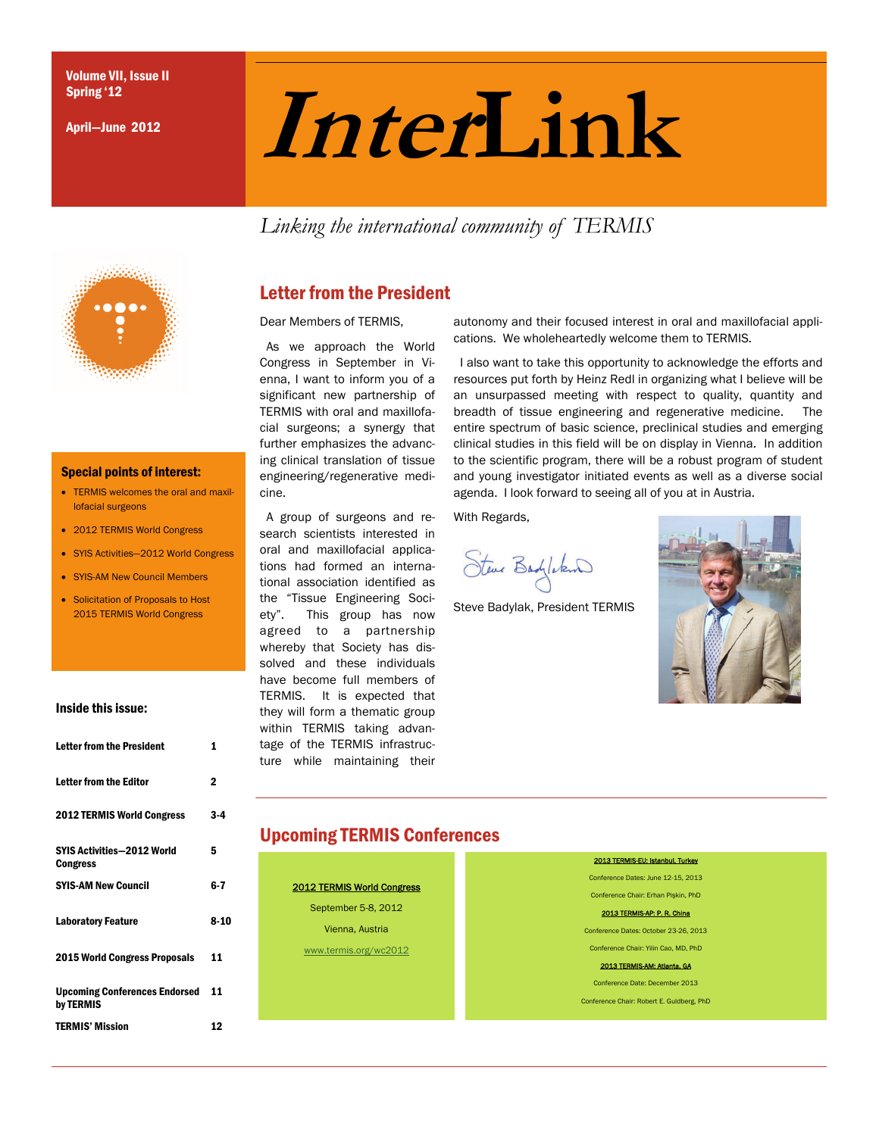April—June 2012

# $\sum_{\text{April}-\text{June 2012}}$  **Inter**

*Linking the international community of TERMIS* 



#### Special points of interest:

- TERMIS welcomes the oral and maxillofacial surgeons
- 2012 TERMIS World Congress
- SYIS Activities—2012 World Congress
- SYIS-AM New Council Members
- Solicitation of Proposals to Host 2015 TERMIS World Congress

#### Inside this issue:

| Letter from the President                            | 1           |
|------------------------------------------------------|-------------|
| Letter from the Editor                               | $\mathbf 2$ |
| <b>2012 TERMIS World Congress</b>                    | 3-4         |
| <b>SYIS Activities-2012 World</b><br><b>Congress</b> | 5           |
| <b>SYIS-AM New Council</b>                           | 6-7         |
| <b>Laboratory Feature</b>                            | 8-10        |
| <b>2015 World Congress Proposals</b>                 | 11          |
| <b>Upcoming Conferences Endorsed</b><br>by TERMIS    | 11          |
| <b>TERMIS' Mission</b>                               | 12          |

# Letter from the President

Dear Members of TERMIS,

 As we approach the World Congress in September in Vienna, I want to inform you of a significant new partnership of TERMIS with oral and maxillofacial surgeons; a synergy that further emphasizes the advancing clinical translation of tissue engineering/regenerative medicine.

 A group of surgeons and research scientists interested in oral and maxillofacial applications had formed an international association identified as the "Tissue Engineering Society". This group has now agreed to a partnership whereby that Society has dissolved and these individuals have become full members of TERMIS. It is expected that they will form a thematic group within TERMIS taking advantage of the TERMIS infrastructure while maintaining their

autonomy and their focused interest in oral and maxillofacial applications. We wholeheartedly welcome them to TERMIS.

 I also want to take this opportunity to acknowledge the efforts and resources put forth by Heinz Redl in organizing what I believe will be an unsurpassed meeting with respect to quality, quantity and breadth of tissue engineering and regenerative medicine. The entire spectrum of basic science, preclinical studies and emerging clinical studies in this field will be on display in Vienna. In addition to the scientific program, there will be a robust program of student and young investigator initiated events as well as a diverse social agenda. I look forward to seeing all of you at in Austria.

With Regards,

Steve Badyloken

Steve Badylak, President TERMIS



# Upcoming TERMIS Conferences

2012 TERMIS World Congress September 5-8, 2012 Vienna, Austria [www.termis.org/wc2012](http://www.termis.org/wc2012)

2013 TERMIS-EU: Istanbul, Turkey Conference Dates: June 12-15, 2013 Conference Chair: Erhan Pişkin, PhD 2013 TERMIS-AP: P. R. China Conference Dates: October 23-26, 2013 Conference Chair: Yilin Cao, MD, PhD 2013 TERMIS-AM: Atlanta, GA Conference Date: December 2013 Conference Chair: Robert E. Guldberg, PhD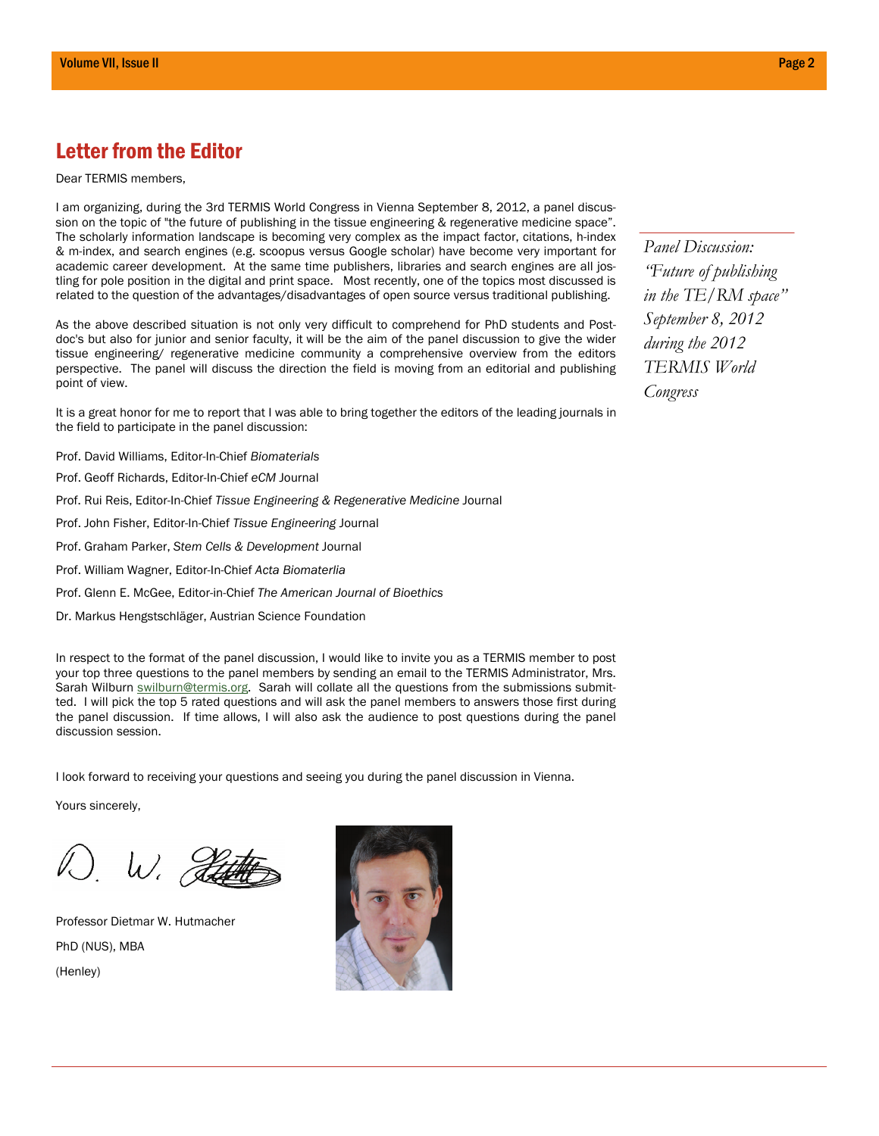# Letter from the Editor

Dear TERMIS members,

I am organizing, during the 3rd TERMIS World Congress in Vienna September 8, 2012, a panel discussion on the topic of "the future of publishing in the tissue engineering & regenerative medicine space". The scholarly information landscape is becoming very complex as the impact factor, citations, h-index & m-index, and search engines (e.g. scoopus versus Google scholar) have become very important for academic career development. At the same time publishers, libraries and search engines are all jostling for pole position in the digital and print space. Most recently, one of the topics most discussed is related to the question of the advantages/disadvantages of open source versus traditional publishing.

As the above described situation is not only very difficult to comprehend for PhD students and Postdoc's but also for junior and senior faculty, it will be the aim of the panel discussion to give the wider tissue engineering/ regenerative medicine community a comprehensive overview from the editors perspective. The panel will discuss the direction the field is moving from an editorial and publishing point of view.

It is a great honor for me to report that I was able to bring together the editors of the leading journals in the field to participate in the panel discussion:

Prof. David Williams, Editor-In-Chief *Biomaterials*

- Prof. Geoff Richards, Editor-In-Chief *eCM* Journal
- Prof. Rui Reis, Editor-In-Chief *Tissue Engineering & Regenerative Medicine* Journal
- Prof. John Fisher, Editor-In-Chief *Tissue Engineering* Journal
- Prof. Graham Parker, *Stem Cells & Development* Journal
- Prof. William Wagner, Editor-In-Chief *Acta Biomaterlia*
- Prof. Glenn E. McGee, Editor-in-Chief *The American Journal of Bioethics*
- Dr. Markus Hengstschläger, Austrian Science Foundation

In respect to the format of the panel discussion, I would like to invite you as a TERMIS member to post your top three questions to the panel members by sending an email to the TERMIS Administrator, Mrs. Sarah Wilburn **[swilburn@termis.org](https://outlook.qut.edu.au/owa/redir.aspx?C=a8ebe5e5b32b42cc8b62d309c2f95d4e&URL=mailto%3aswilburn%40termis.org).** Sarah will collate all the questions from the submissions submitted. I will pick the top 5 rated questions and will ask the panel members to answers those first during the panel discussion. If time allows, I will also ask the audience to post questions during the panel discussion session.

I look forward to receiving your questions and seeing you during the panel discussion in Vienna.

Yours sincerely,

W. D. Pette

Professor Dietmar W. Hutmacher PhD (NUS), MBA (Henley)



*Panel Discussion: "Future of publishing in the TE/RM space" September 8, 2012 during the 2012 TERMIS World Congress*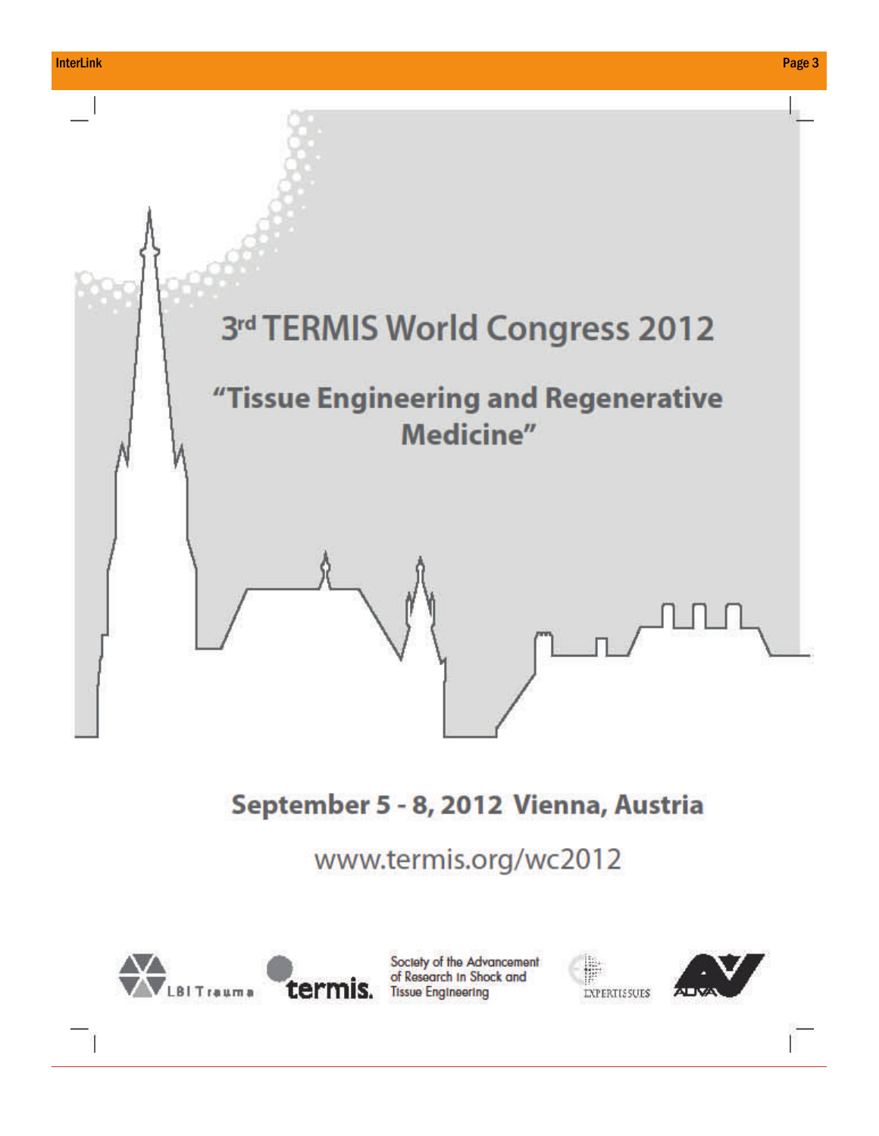



Society of the Advancement of Research In Shock and termis. Tissue Engineering



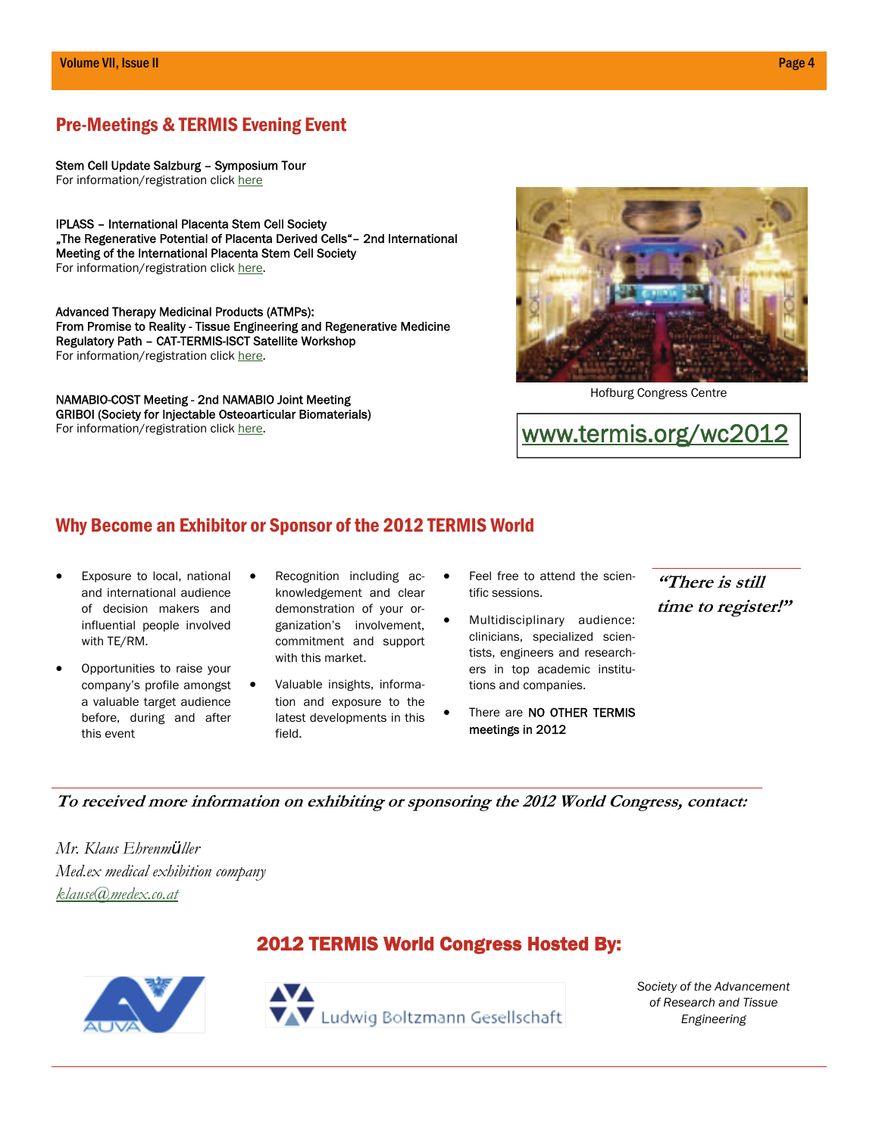# Pre-Meetings & TERMIS Evening Event

Stem Cell Update Salzburg – Symposium Tour For information/registration click [here](http://www.medical-education.at/anmeldung/premeetingtermis.html)

IPLASS – International Placenta Stem Cell Society "The Regenerative Potential of Placenta Derived Cells"- 2nd International Meeting of the International Placenta Stem Cell Society For information/registration click [here](http://www.iplass.net/ii/2ndiplassmeeting-registration).

Advanced Therapy Medicinal Products (ATMPs): From Promise to Reality - Tissue Engineering and Regenerative Medicine Regulatory Path – CAT-TERMIS-ISCT Satellite Workshop For information/registration click [here](http://www.celltherapysociety.org/index.php/meetings-events/regional-meetings/european-regional-meetings/isct-3rd-european-regional-meeting).

NAMABIO-COST Meeting - 2nd NAMABIO Joint Meeting GRIBOI (Society for Injectable Osteoarticular Biomaterials) For information/registration click [here](http://www.griboi.org/pre-meeting).



Hofburg Congress Centre

[www.termis.org/wc2012](http://www.termis.org/wc2012)

# Why Become an Exhibitor or Sponsor of the 2012 TERMIS World

- Exposure to local, national and international audience of decision makers and influential people involved with TE/RM.
- Opportunities to raise your company's profile amongst a valuable target audience before, during and after this event
- Recognition including acknowledgement and clear demonstration of your organization's involvement, commitment and support with this market.
- Valuable insights, information and exposure to the latest developments in this field.
- Feel free to attend the scientific sessions.
- Multidisciplinary audience: clinicians, specialized scientists, engineers and researchers in top academic institutions and companies.
- There are NO OTHER TERMIS meetings in 2012

**"There is still time to register!"** 

**To received more information on exhibiting or sponsoring the 2012 World Congress, contact:** 

*Mr. Klaus Ehrenmüller Med.ex medical exhibition company [klause@medex.co.at](mailto:klaus@medex.co.at)* 

# 2012 TERMIS World Congress Hosted By:



*Society of the Advancement of Research and Tissue Engineering*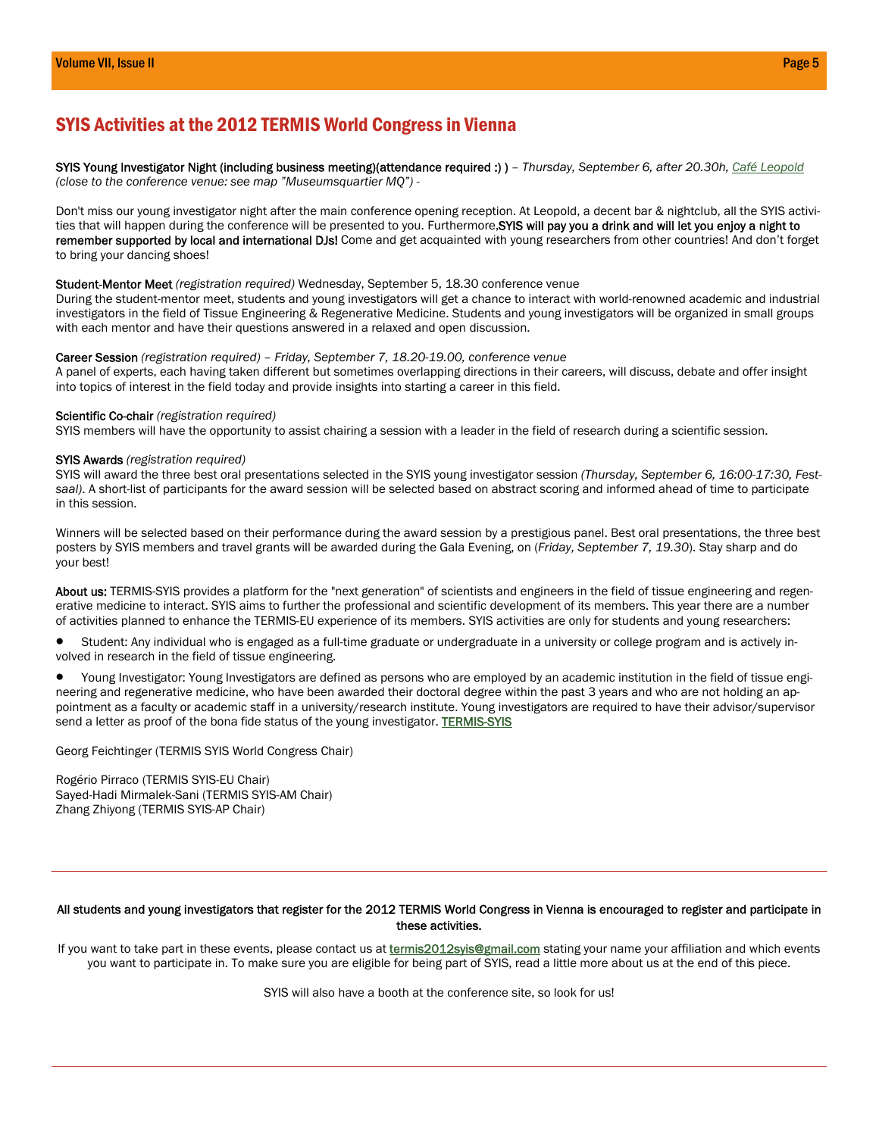# SYIS Activities at the 2012 TERMIS World Congress in Vienna

SYIS Young Investigator Night (including business meeting)(attendance required :) ) *– Thursday, September 6, after 20.30h, [Café Leopold](http://www.cafe-leopold.at/z/Image/start/panoramen/Lounge_gross.htm) (close to the conference venue: see map "Museumsquartier MQ") -*

Don't miss our young investigator night after the main conference opening reception. At Leopold, a decent bar & nightclub, all the SYIS activities that will happen during the conference will be presented to you. Furthermore, SYIS will pay you a drink and will let you enjoy a night to remember supported by local and international DJs! Come and get acquainted with young researchers from other countries! And don't forget to bring your dancing shoes!

#### Student-Mentor Meet *(registration required)* Wednesday, September 5, 18.30 conference venue

During the student-mentor meet, students and young investigators will get a chance to interact with world-renowned academic and industrial investigators in the field of Tissue Engineering & Regenerative Medicine. Students and young investigators will be organized in small groups with each mentor and have their questions answered in a relaxed and open discussion.

#### Career Session *(registration required) – Friday, September 7, 18.20-19.00, conference venue*

A panel of experts, each having taken different but sometimes overlapping directions in their careers, will discuss, debate and offer insight into topics of interest in the field today and provide insights into starting a career in this field.

#### Scientific Co-chair *(registration required)*

SYIS members will have the opportunity to assist chairing a session with a leader in the field of research during a scientific session.

#### SYIS Awards *(registration required)*

SYIS will award the three best oral presentations selected in the SYIS young investigator session *(Thursday, September 6, 16:00-17:30, Festsaal)*. A short-list of participants for the award session will be selected based on abstract scoring and informed ahead of time to participate in this session.

Winners will be selected based on their performance during the award session by a prestigious panel. Best oral presentations, the three best posters by SYIS members and travel grants will be awarded during the Gala Evening, on (*Friday, September 7, 19.30*). Stay sharp and do your best!

About us: TERMIS-SYIS provides a platform for the "next generation" of scientists and engineers in the field of tissue engineering and regenerative medicine to interact. SYIS aims to further the professional and scientific development of its members. This year there are a number of activities planned to enhance the TERMIS-EU experience of its members. SYIS activities are only for students and young researchers:

 Student: Any individual who is engaged as a full-time graduate or undergraduate in a university or college program and is actively involved in research in the field of tissue engineering.

 Young Investigator: Young Investigators are defined as persons who are employed by an academic institution in the field of tissue engineering and regenerative medicine, who have been awarded their doctoral degree within the past 3 years and who are not holding an appointment as a faculty or academic staff in a university/research institute. Young investigators are required to have their advisor/supervisor send a letter as proof of the bona fide status of the young investigator. **TERMIS-SYIS** 

Georg Feichtinger (TERMIS SYIS World Congress Chair)

Rogério Pirraco (TERMIS SYIS-EU Chair) Sayed-Hadi Mirmalek-Sani (TERMIS SYIS-AM Chair) Zhang Zhiyong (TERMIS SYIS-AP Chair)

#### All students and young investigators that register for the 2012 TERMIS World Congress in Vienna is encouraged to register and participate in these activities.

If you want to take part in these events, please contact us at *termis2012syis@gmail.com* stating your name your affiliation and which events you want to participate in. To make sure you are eligible for being part of SYIS, read a little more about us at the end of this piece.

SYIS will also have a booth at the conference site, so look for us!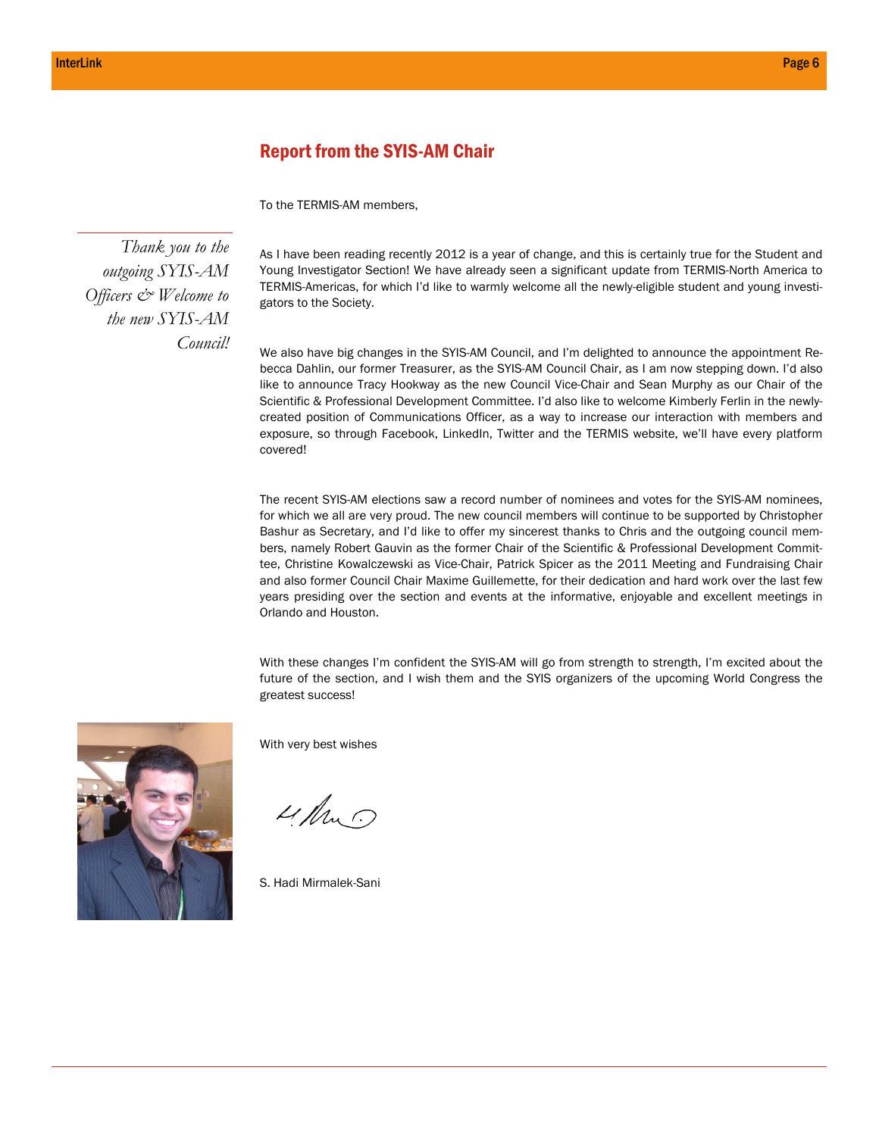## Report from the SYIS-AM Chair

To the TERMIS-AM members,

*Thank you to the outgoing SYIS-AM Officers & Welcome to the new SYIS-AM Council!* 

As I have been reading recently 2012 is a year of change, and this is certainly true for the Student and Young Investigator Section! We have already seen a significant update from TERMIS-North America to TERMIS-Americas, for which I'd like to warmly welcome all the newly-eligible student and young investigators to the Society.

We also have big changes in the SYIS-AM Council, and I'm delighted to announce the appointment Rebecca Dahlin, our former Treasurer, as the SYIS-AM Council Chair, as I am now stepping down. I'd also like to announce Tracy Hookway as the new Council Vice-Chair and Sean Murphy as our Chair of the Scientific & Professional Development Committee. I'd also like to welcome Kimberly Ferlin in the newlycreated position of Communications Officer, as a way to increase our interaction with members and exposure, so through Facebook, LinkedIn, Twitter and the TERMIS website, we'll have every platform covered!

The recent SYIS-AM elections saw a record number of nominees and votes for the SYIS-AM nominees, for which we all are very proud. The new council members will continue to be supported by Christopher Bashur as Secretary, and I'd like to offer my sincerest thanks to Chris and the outgoing council members, namely Robert Gauvin as the former Chair of the Scientific & Professional Development Committee, Christine Kowalczewski as Vice-Chair, Patrick Spicer as the 2011 Meeting and Fundraising Chair and also former Council Chair Maxime Guillemette, for their dedication and hard work over the last few years presiding over the section and events at the informative, enjoyable and excellent meetings in Orlando and Houston.

With these changes I'm confident the SYIS-AM will go from strength to strength, I'm excited about the future of the section, and I wish them and the SYIS organizers of the upcoming World Congress the greatest success!



With very best wishes

4. Am

S. Hadi Mirmalek-Sani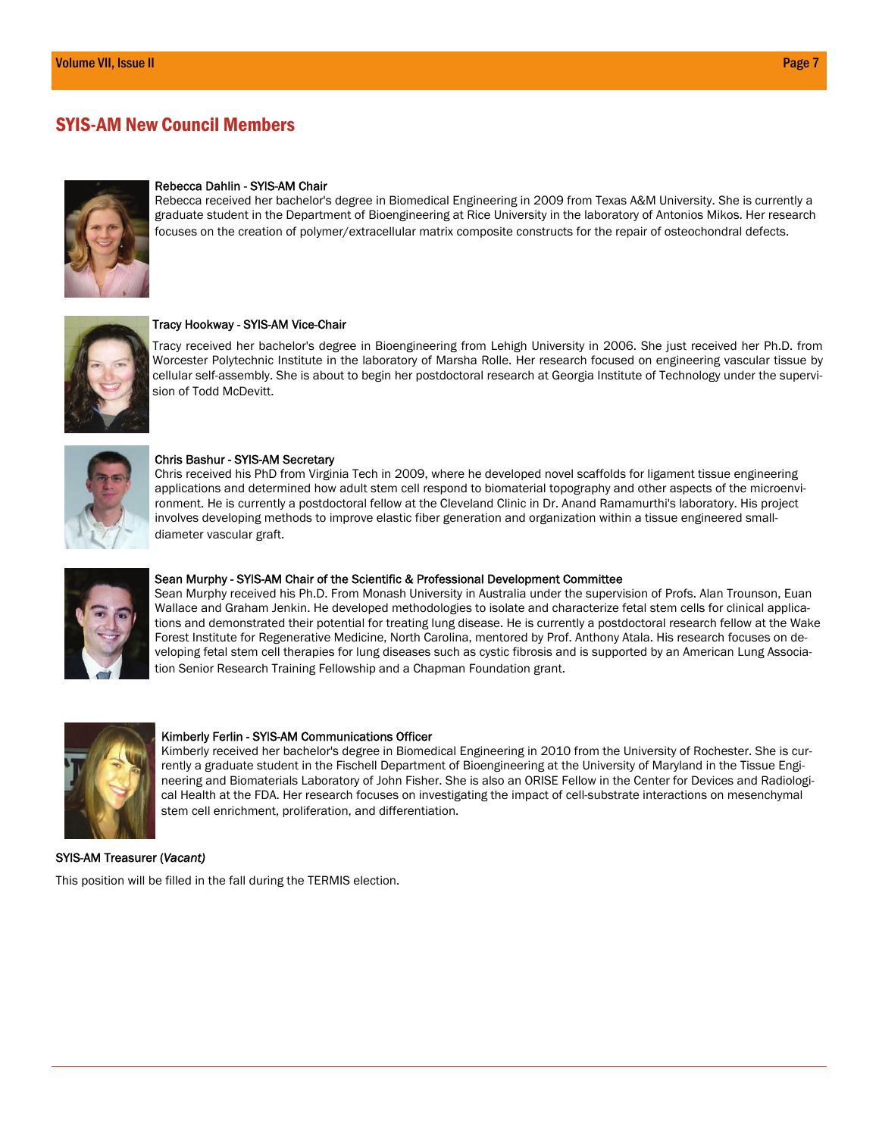# SYIS-AM New Council Members



#### Rebecca Dahlin - SYIS-AM Chair

Rebecca received her bachelor's degree in Biomedical Engineering in 2009 from Texas A&M University. She is currently a graduate student in the Department of Bioengineering at Rice University in the laboratory of Antonios Mikos. Her research focuses on the creation of polymer/extracellular matrix composite constructs for the repair of osteochondral defects.



#### Tracy Hookway - SYIS-AM Vice-Chair

Tracy received her bachelor's degree in Bioengineering from Lehigh University in 2006. She just received her Ph.D. from Worcester Polytechnic Institute in the laboratory of Marsha Rolle. Her research focused on engineering vascular tissue by cellular self-assembly. She is about to begin her postdoctoral research at Georgia Institute of Technology under the supervision of Todd McDevitt.



#### Chris Bashur - SYIS-AM Secretary

Chris received his PhD from Virginia Tech in 2009, where he developed novel scaffolds for ligament tissue engineering applications and determined how adult stem cell respond to biomaterial topography and other aspects of the microenvironment. He is currently a postdoctoral fellow at the Cleveland Clinic in Dr. Anand Ramamurthi's laboratory. His project involves developing methods to improve elastic fiber generation and organization within a tissue engineered smalldiameter vascular graft.



#### Sean Murphy - SYIS-AM Chair of the Scientific & Professional Development Committee

Sean Murphy received his Ph.D. From Monash University in Australia under the supervision of Profs. Alan Trounson, Euan Wallace and Graham Jenkin. He developed methodologies to isolate and characterize fetal stem cells for clinical applications and demonstrated their potential for treating lung disease. He is currently a postdoctoral research fellow at the Wake Forest Institute for Regenerative Medicine, North Carolina, mentored by Prof. Anthony Atala. His research focuses on developing fetal stem cell therapies for lung diseases such as cystic fibrosis and is supported by an American Lung Association Senior Research Training Fellowship and a Chapman Foundation grant.



#### Kimberly Ferlin - SYIS-AM Communications Officer

Kimberly received her bachelor's degree in Biomedical Engineering in 2010 from the University of Rochester. She is currently a graduate student in the Fischell Department of Bioengineering at the University of Maryland in the Tissue Engineering and Biomaterials Laboratory of John Fisher. She is also an ORISE Fellow in the Center for Devices and Radiological Health at the FDA. Her research focuses on investigating the impact of cell-substrate interactions on mesenchymal stem cell enrichment, proliferation, and differentiation.

#### SYIS-AM Treasurer (*Vacant)*

This position will be filled in the fall during the TERMIS election.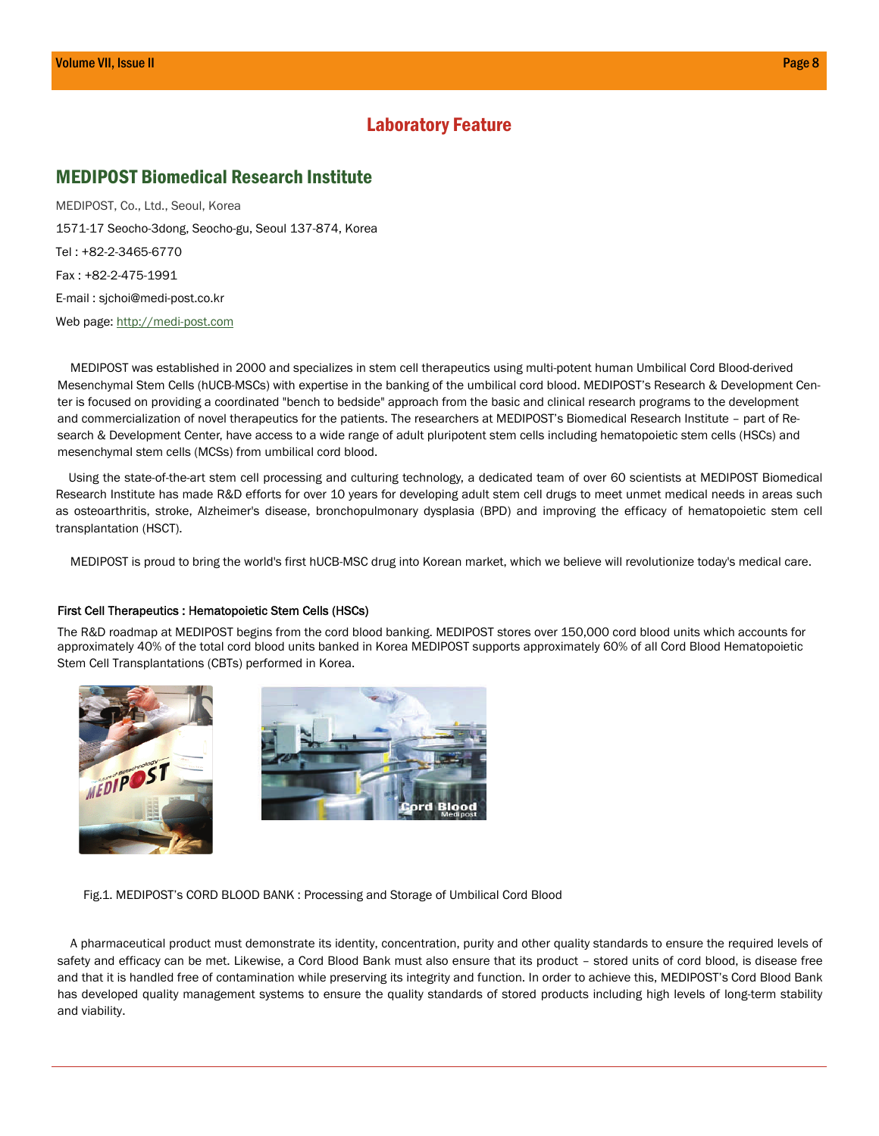# Laboratory Feature

## MEDIPOST Biomedical Research Institute

MEDIPOST, Co., Ltd., Seoul, Korea 1571-17 Seocho-3dong, Seocho-gu, Seoul 137-874, Korea Tel : +82-2-3465-6770 Fax : +82-2-475-1991 E-mail : sjchoi@medi-post.co.kr Web page: [http://medi-post.com](http://medi-post.com/)

MEDIPOST was established in 2000 and specializes in stem cell therapeutics using multi-potent human Umbilical Cord Blood-derived Mesenchymal Stem Cells (hUCB-MSCs) with expertise in the banking of the umbilical cord blood. MEDIPOST's Research & Development Center is focused on providing a coordinated "bench to bedside" approach from the basic and clinical research programs to the development and commercialization of novel therapeutics for the patients. The researchers at MEDIPOST's Biomedical Research Institute – part of Research & Development Center, have access to a wide range of adult pluripotent stem cells including hematopoietic stem cells (HSCs) and mesenchymal stem cells (MCSs) from umbilical cord blood.

Using the state-of-the-art stem cell processing and culturing technology, a dedicated team of over 60 scientists at MEDIPOST Biomedical Research Institute has made R&D efforts for over 10 years for developing adult stem cell drugs to meet unmet medical needs in areas such as osteoarthritis, stroke, Alzheimer's disease, bronchopulmonary dysplasia (BPD) and improving the efficacy of hematopoietic stem cell transplantation (HSCT).

MEDIPOST is proud to bring the world's first hUCB-MSC drug into Korean market, which we believe will revolutionize today's medical care.

#### First Cell Therapeutics : Hematopoietic Stem Cells (HSCs)

The R&D roadmap at MEDIPOST begins from the cord blood banking. MEDIPOST stores over 150,000 cord blood units which accounts for approximately 40% of the total cord blood units banked in Korea MEDIPOST supports approximately 60% of all Cord Blood Hematopoietic Stem Cell Transplantations (CBTs) performed in Korea.





Fig.1. MEDIPOST's CORD BLOOD BANK : Processing and Storage of Umbilical Cord Blood

A pharmaceutical product must demonstrate its identity, concentration, purity and other quality standards to ensure the required levels of safety and efficacy can be met. Likewise, a Cord Blood Bank must also ensure that its product – stored units of cord blood, is disease free and that it is handled free of contamination while preserving its integrity and function. In order to achieve this, MEDIPOST's Cord Blood Bank has developed quality management systems to ensure the quality standards of stored products including high levels of long-term stability and viability.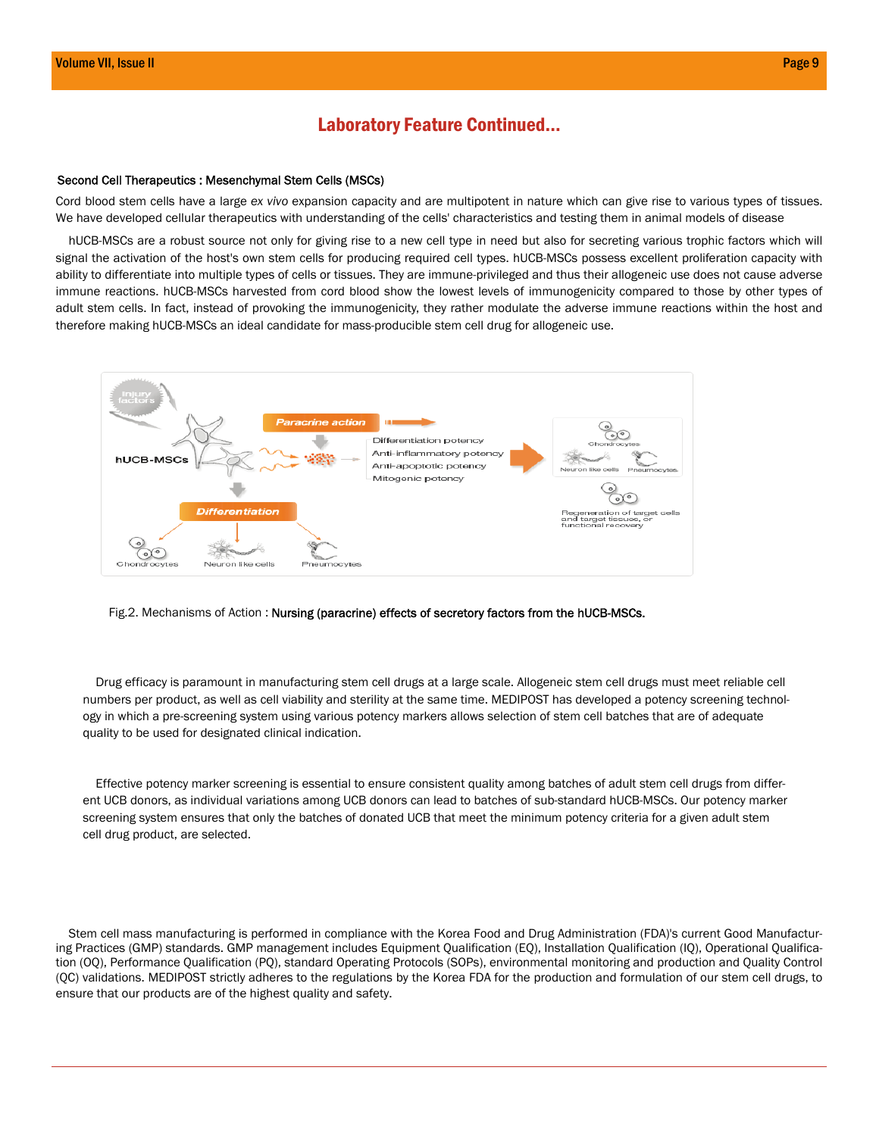## Laboratory Feature Continued...

#### Second Cell Therapeutics : Mesenchymal Stem Cells (MSCs)

Cord blood stem cells have a large *ex vivo* expansion capacity and are multipotent in nature which can give rise to various types of tissues. We have developed cellular therapeutics with understanding of the cells' characteristics and testing them in animal models of disease

hUCB-MSCs are a robust source not only for giving rise to a new cell type in need but also for secreting various trophic factors which will signal the activation of the host's own stem cells for producing required cell types. hUCB-MSCs possess excellent proliferation capacity with ability to differentiate into multiple types of cells or tissues. They are immune-privileged and thus their allogeneic use does not cause adverse immune reactions. hUCB-MSCs harvested from cord blood show the lowest levels of immunogenicity compared to those by other types of adult stem cells. In fact, instead of provoking the immunogenicity, they rather modulate the adverse immune reactions within the host and therefore making hUCB-MSCs an ideal candidate for mass-producible stem cell drug for allogeneic use.



#### Fig.2. Mechanisms of Action : Nursing (paracrine) effects of secretory factors from the hUCB-MSCs.

Drug efficacy is paramount in manufacturing stem cell drugs at a large scale. Allogeneic stem cell drugs must meet reliable cell numbers per product, as well as cell viability and sterility at the same time. MEDIPOST has developed a potency screening technology in which a pre-screening system using various potency markers allows selection of stem cell batches that are of adequate quality to be used for designated clinical indication.

Effective potency marker screening is essential to ensure consistent quality among batches of adult stem cell drugs from different UCB donors, as individual variations among UCB donors can lead to batches of sub-standard hUCB-MSCs. Our potency marker screening system ensures that only the batches of donated UCB that meet the minimum potency criteria for a given adult stem cell drug product, are selected.

 Stem cell mass manufacturing is performed in compliance with the Korea Food and Drug Administration (FDA)'s current Good Manufacturing Practices (GMP) standards. GMP management includes Equipment Qualification (EQ), Installation Qualification (IQ), Operational Qualification (OQ), Performance Qualification (PQ), standard Operating Protocols (SOPs), environmental monitoring and production and Quality Control (QC) validations. MEDIPOST strictly adheres to the regulations by the Korea FDA for the production and formulation of our stem cell drugs, to ensure that our products are of the highest quality and safety.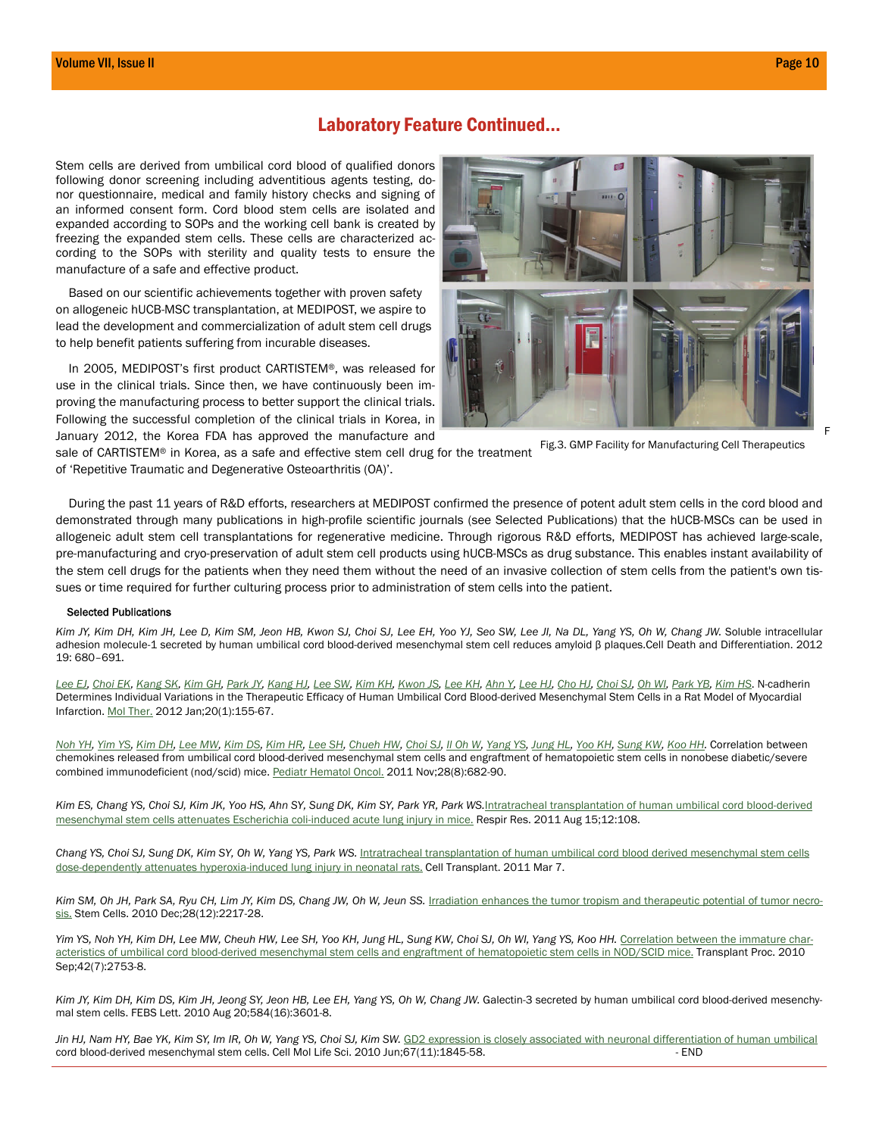### Laboratory Feature Continued...

Stem cells are derived from umbilical cord blood of qualified donors following donor screening including adventitious agents testing, donor questionnaire, medical and family history checks and signing of an informed consent form. Cord blood stem cells are isolated and expanded according to SOPs and the working cell bank is created by freezing the expanded stem cells. These cells are characterized according to the SOPs with sterility and quality tests to ensure the manufacture of a safe and effective product.

Based on our scientific achievements together with proven safety on allogeneic hUCB-MSC transplantation, at MEDIPOST, we aspire to lead the development and commercialization of adult stem cell drugs to help benefit patients suffering from incurable diseases.

In 2005, MEDIPOST's first product CARTISTEM®, was released for use in the clinical trials. Since then, we have continuously been improving the manufacturing process to better support the clinical trials. Following the successful completion of the clinical trials in Korea, in January 2012, the Korea FDA has approved the manufacture and



Fig.3. GMP Facility for Manufacturing Cell Therapeutics

sale of CARTISTEM® in Korea, as a safe and effective stem cell drug for the treatment of 'Repetitive Traumatic and Degenerative Osteoarthritis (OA)'.

During the past 11 years of R&D efforts, researchers at MEDIPOST confirmed the presence of potent adult stem cells in the cord blood and demonstrated through many publications in high-profile scientific journals (see Selected Publications) that the hUCB-MSCs can be used in allogeneic adult stem cell transplantations for regenerative medicine. Through rigorous R&D efforts, MEDIPOST has achieved large-scale, pre-manufacturing and cryo-preservation of adult stem cell products using hUCB-MSCs as drug substance. This enables instant availability of the stem cell drugs for the patients when they need them without the need of an invasive collection of stem cells from the patient's own tissues or time required for further culturing process prior to administration of stem cells into the patient.

#### Selected Publications

*Kim JY, Kim DH, Kim JH, Lee D, Kim SM, Jeon HB, Kwon SJ, Choi SJ, Lee EH, Yoo YJ, Seo SW, Lee JI, Na DL, Yang YS, Oh W, Chang JW.* Soluble intracellular adhesion molecule-1 secreted by human umbilical cord blood-derived mesenchymal stem cell reduces amyloid β plaques.Cell Death and Differentiation. 2012 19: 680–691.

[Lee E](http://www.ncbi.nlm.nih.gov/pubmed?term=%22Lee%20EJ%22%5BAuthor%5D)J, [Choi EK](http://www.ncbi.nlm.nih.gov/pubmed?term=%22Choi%20EK%22%5BAuthor%5D), [Kang SK](http://www.ncbi.nlm.nih.gov/pubmed?term=%22Kang%20SK%22%5BAuthor%5D), [Kim GH](http://www.ncbi.nlm.nih.gov/pubmed?term=%22Kim%20GH%22%5BAuthor%5D), [Park JY](http://www.ncbi.nlm.nih.gov/pubmed?term=%22Park%20JY%22%5BAuthor%5D), [Kang H](http://www.ncbi.nlm.nih.gov/pubmed?term=%22Kang%20HJ%22%5BAuthor%5D)J, [Lee SW](http://www.ncbi.nlm.nih.gov/pubmed?term=%22Lee%20SW%22%5BAuthor%5D), [Kim KH](http://www.ncbi.nlm.nih.gov/pubmed?term=%22Kim%20KH%22%5BAuthor%5D), [Kwon JS](http://www.ncbi.nlm.nih.gov/pubmed?term=%22Kwon%20JS%22%5BAuthor%5D), [Lee KH](http://www.ncbi.nlm.nih.gov/pubmed?term=%22Lee%20KH%22%5BAuthor%5D), [Ahn Y](http://www.ncbi.nlm.nih.gov/pubmed?term=%22Ahn%20Y%22%5BAuthor%5D), [Lee H](http://www.ncbi.nlm.nih.gov/pubmed?term=%22Lee%20HJ%22%5BAuthor%5D)J, [Cho H](http://www.ncbi.nlm.nih.gov/pubmed?term=%22Cho%20HJ%22%5BAuthor%5D)J, [Choi S](http://www.ncbi.nlm.nih.gov/pubmed?term=%22Choi%20SJ%22%5BAuthor%5D)J[, Oh W](http://www.ncbi.nlm.nih.gov/pubmed?term=%22Oh%20WI%22%5BAuthor%5D)I, [Park YB](http://www.ncbi.nlm.nih.gov/pubmed?term=%22Park%20YB%22%5BAuthor%5D), [Kim HS](http://www.ncbi.nlm.nih.gov/pubmed?term=%22Kim%20HS%22%5BAuthor%5D). N-cadherin Determines Individual Variations in the Therapeutic Efficacy of Human Umbilical Cord Blood-derived Mesenchymal Stem Cells in a Rat Model of Myocardial Infarction. [Mol Ther](http://www.ncbi.nlm.nih.gov/pubmed/22068423). 2012 Jan;20(1):155-67.

[Noh YH](http://www.ncbi.nlm.nih.gov/pubmed?term=%22Noh%20YH%22%5BAuthor%5D), [Yim YS](http://www.ncbi.nlm.nih.gov/pubmed?term=%22Yim%20YS%22%5BAuthor%5D), [Kim DH](http://www.ncbi.nlm.nih.gov/pubmed?term=%22Kim%20DH%22%5BAuthor%5D), [Lee MW](http://www.ncbi.nlm.nih.gov/pubmed?term=%22Lee%20MW%22%5BAuthor%5D), [Kim DS](http://www.ncbi.nlm.nih.gov/pubmed?term=%22Kim%20DS%22%5BAuthor%5D), [Kim HR](http://www.ncbi.nlm.nih.gov/pubmed?term=%22Kim%20HR%22%5BAuthor%5D), [Lee SH](http://www.ncbi.nlm.nih.gov/pubmed?term=%22Lee%20SH%22%5BAuthor%5D), [Chueh HW](http://www.ncbi.nlm.nih.gov/pubmed?term=%22Chueh%20HW%22%5BAuthor%5D), [Choi S](http://www.ncbi.nlm.nih.gov/pubmed?term=%22Choi%20SJ%22%5BAuthor%5D)J, II Oh W, [Yang YS](http://www.ncbi.nlm.nih.gov/pubmed?term=%22Yang%20YS%22%5BAuthor%5D), [Jung HL](http://www.ncbi.nlm.nih.gov/pubmed?term=%22Jung%20HL%22%5BAuthor%5D), [Yoo KH](http://www.ncbi.nlm.nih.gov/pubmed?term=%22Yoo%20KH%22%5BAuthor%5D), [Sung KW](http://www.ncbi.nlm.nih.gov/pubmed?term=%22Sung%20KW%22%5BAuthor%5D), [Koo HH](http://www.ncbi.nlm.nih.gov/pubmed?term=%22Koo%20HH%22%5BAuthor%5D). Correlation between chemokines released from umbilical cord blood-derived mesenchymal stem cells and engraftment of hematopoietic stem cells in nonobese diabetic/severe combined immunodeficient (nod/scid) mice. [Pediatr Hematol Oncol](http://www.ncbi.nlm.nih.gov/pubmed/22023463). 2011 Nov;28(8):682-90.

*Kim ES, Chang YS, Choi SJ, Kim JK, Yoo HS, Ahn SY, Sung DK, Kim SY, Park YR, Park WS.*[Intratracheal transplantation of human umbilical cord blood-derived](http://www.ncbi.nlm.nih.gov/pubmed/21843339) [mesenchymal stem cells attenuates Escherichia coli-induced acute lung injury in mice.](http://www.ncbi.nlm.nih.gov/pubmed/21843339) Respir Res. 2011 Aug 15;12:108.

Chang YS, Choi SJ, Sung DK, Kim SY, Oh W, Yang YS, Park WS. [Intratracheal transplantation of human umbilical cord blood derived mesenchymal stem cells](http://www.ncbi.nlm.nih.gov/pubmed/21396161) [dose-dependently attenuates hyperoxia-induced lung injury in neonatal rats](http://www.ncbi.nlm.nih.gov/pubmed/21396161). Cell Transplant. 2011 Mar 7.

Kim SM, Oh JH, Park SA, Ryu CH, Lim JY, Kim DS, Chang JW, Oh W, Jeun SS. *[Irradiation enhances the tumor tropism and therapeutic potential of tumor necro](http://www.ncbi.nlm.nih.gov/pubmed/20945331)*[sis](http://www.ncbi.nlm.nih.gov/pubmed/20945331). Stem Cells. 2010 Dec; 28(12): 2217-28.

Yim YS, Noh YH, Kim DH, Lee MW, Cheuh HW, Lee SH, Yoo KH, Jung HL, Sung KW, Choi SJ, Oh WI, Yang YS, Koo HH. [Correlation between the immature char](http://www.ncbi.nlm.nih.gov/pubmed/20832581)[acteristics of umbilical cord blood-derived mesenchymal stem cells and engraftment of hematopoietic stem cells in NOD/SCID mice](http://www.ncbi.nlm.nih.gov/pubmed/20832581). Transplant Proc. 2010 Sep;42(7):2753-8.

*Kim JY, Kim DH, Kim DS, Kim JH, Jeong SY, Jeon HB, Lee EH, Yang YS, Oh W, Chang JW.* Galectin-3 secreted by human umbilical cord blood-derived mesenchymal stem cells. FEBS Lett. 2010 Aug 20;584(16):3601-8.

*Jin HJ, Nam HY, Bae YK, Kim SY, Im IR, Oh W, Yang YS, Choi SJ, Kim SW.* [GD2 expression is closely associated with neuronal differentiation of human umbilica](http://www.ncbi.nlm.nih.gov/pubmed/20165901)l cord blood-derived mesenchymal stem cells. Cell Mol Life Sci. 2010 Jun;67(11):1845-58. - END

F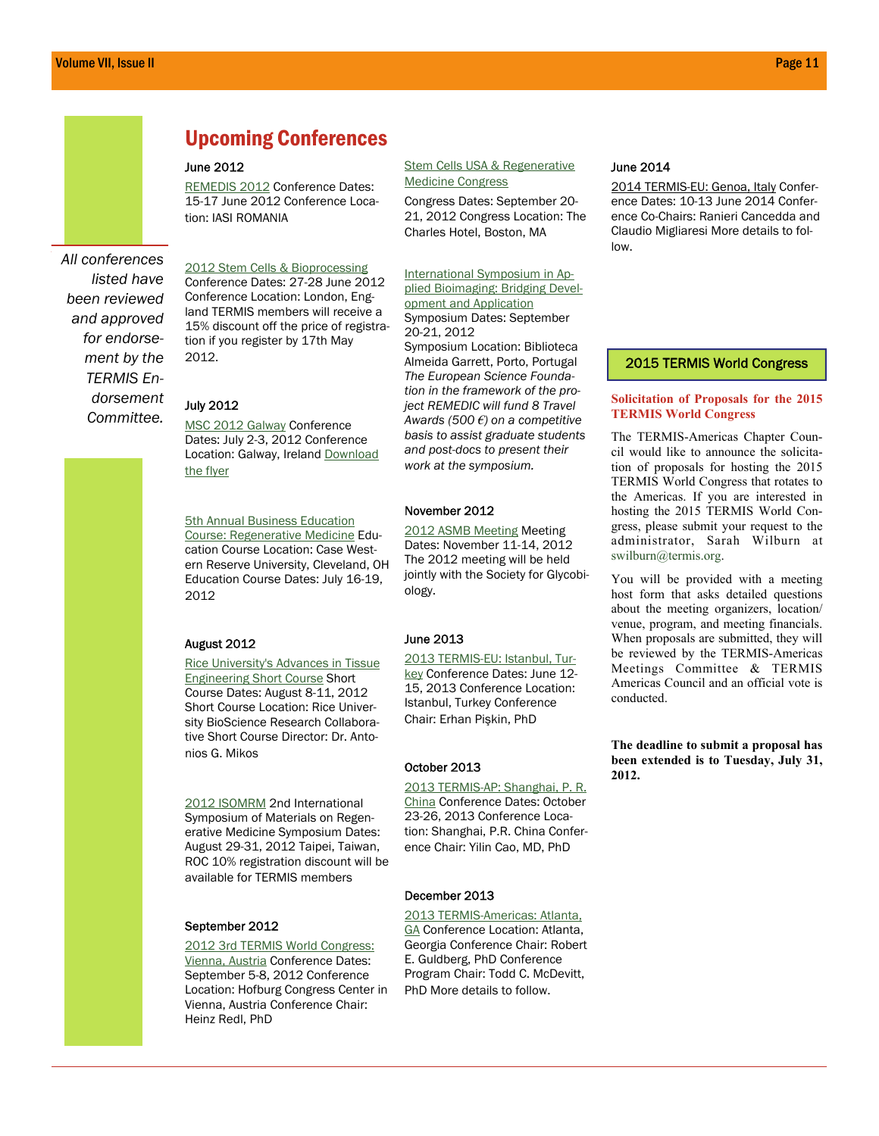

*listed have been reviewed and approved for endorsement by the TERMIS Endorsement Committee.* 

# Upcoming Conferences

#### June 2012

[REMEDIS 2012](http://www.atequal.eu/remedis) Conference Dates: 15-17 June 2012 Conference Location: IASI ROMANIA

[2012 Stem Cells & Bioprocessing](http://selectbiosciences.com/conferences/index.aspx?conf=SCBPE2012) Conference Dates: 27-28 June 2012 Conference Location: London, England TERMIS members will receive a 15% discount off the price of registration if you register by 17th May 2012.

#### July 2012

[MSC 2012 Galway](http://www.conference.ie/Conferences/index.asp?Conference=149) Conference Dates: July 2-3, 2012 Conference Location: Galway, Ireland Download [the flyer](http://www.termis.org/docs/msc_galway2012_flyer.pdf)

**5th Annual Business Education** [Course: Regenerative Medicine](http://www.case.edu/entrepreneurship/regen_med/index.html) Education Course Location: Case Western Reserve University, Cleveland, OH Education Course Dates: July 16-19, 2012

#### August 2012

[Rice University's Advances in Tissue](http://tissue.rice.edu)  [Engineering Short Course](http://tissue.rice.edu) Short Course Dates: August 8-11, 2012 Short Course Location: Rice University BioScience Research Collaborative Short Course Director: Dr. Antonios G. Mikos

[2012 ISOMRM](http://www.2012isomrm.org.tw/) 2nd International Symposium of Materials on Regenerative Medicine Symposium Dates: August 29-31, 2012 Taipei, Taiwan, ROC 10% registration discount will be available for TERMIS members

#### September 2012

[2012 3rd TERMIS World Congress:](http://www.termis.org/wc2012)  [Vienna, Austria](http://www.termis.org/wc2012) Conference Dates: September 5-8, 2012 Conference Location: Hofburg Congress Center in Vienna, Austria Conference Chair: Heinz Redl, PhD

#### [Stem Cells USA & Regenerative](http://www.terrapinn.com/2012/stem-cells-usa-regenerative-medicine/)  [Medicine Congress](http://www.terrapinn.com/2012/stem-cells-usa-regenerative-medicine/)

Congress Dates: September 20- 21, 2012 Congress Location: The Charles Hotel, Boston, MA

#### [International Symposium in Ap](http://www.bioimaging2012.ineb.up.pt/)[plied Bioimaging: Bridging Devel](http://www.bioimaging2012.ineb.up.pt/)[opment and Application](http://www.bioimaging2012.ineb.up.pt/) Symposium Dates: September 20-21, 2012

Symposium Location: Biblioteca Almeida Garrett, Porto, Portugal *The European Science Foundation in the framework of the project REMEDIC will fund 8 Travel Awards (500 €) on a competitive basis to assist graduate students and post-docs to present their work at the symposium.* 

#### November 2012

[2012 ASMB Meeting](http://www.asmb.net/2012_meeting.php) Meeting Dates: November 11-14, 2012 The 2012 meeting will be held jointly with the Society for Glycobiology.

#### June 2013

[2013 TERMIS-EU: Istanbul, Tur](http://www.termis.org/eu2013)[key](http://www.termis.org/eu2013) Conference Dates: June 12- 15, 2013 Conference Location: Istanbul, Turkey Conference Chair: Erhan Pişkin, PhD

#### October 2013

[2013 TERMIS-AP: Shanghai, P. R.](http://www.termis.org/ap2013/)  [China](http://www.termis.org/ap2013/) Conference Dates: October 23-26, 2013 Conference Location: Shanghai, P.R. China Conference Chair: Yilin Cao, MD, PhD

#### December 2013

[2013 TERMIS-Americas: Atlanta,](http://www.termis.org/am2013)  [GA](http://www.termis.org/am2013) Conference Location: Atlanta, Georgia Conference Chair: Robert E. Guldberg, PhD Conference Program Chair: Todd C. McDevitt, PhD More details to follow.

#### June 2014

2014 TERMIS-EU: Genoa, Italy Conference Dates: 10-13 June 2014 Conference Co-Chairs: Ranieri Cancedda and Claudio Migliaresi More details to follow.

#### 2015 TERMIS World Congress

#### **Solicitation of Proposals for the 2015 TERMIS World Congress**

The TERMIS-Americas Chapter Council would like to announce the solicitation of proposals for hosting the 2015 TERMIS World Congress that rotates to the Americas. If you are interested in hosting the 2015 TERMIS World Congress, please submit your request to the administrator, Sarah Wilburn at swilburn@termis.org.

You will be provided with a meeting host form that asks detailed questions about the meeting organizers, location/ venue, program, and meeting financials. When proposals are submitted, they will be reviewed by the TERMIS-Americas Meetings Committee & TERMIS Americas Council and an official vote is conducted.

**The deadline to submit a proposal has been extended is to Tuesday, July 31, 2012.**